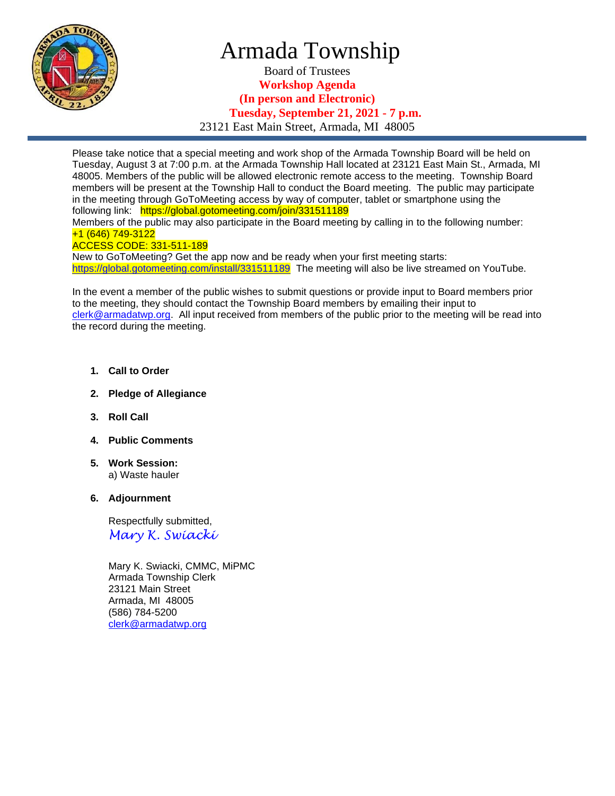

## Armada Township

Board of Trustees **Workshop Agenda (In person and Electronic) Tuesday, September 21, 2021 - 7 p.m.** 23121 East Main Street, Armada, MI 48005

Please take notice that a special meeting and work shop of the Armada Township Board will be held on Tuesday, August 3 at 7:00 p.m. at the Armada Township Hall located at 23121 East Main St., Armada, MI 48005. Members of the public will be allowed electronic remote access to the meeting. Township Board members will be present at the Township Hall to conduct the Board meeting. The public may participate in the meeting through GoToMeeting access by way of computer, tablet or smartphone using the following link: https://global.gotomeeting.com/join/331511189 Members of the public may also participate in the Board meeting by calling in to the following number: +1 (646) 749-3122 ACCESS CODE: 331-511-189

New to GoToMeeting? Get the app now and be ready when your first meeting starts: <https://global.gotomeeting.com/install/331511189>The meeting will also be live streamed on YouTube.

In the event a member of the public wishes to submit questions or provide input to Board members prior to the meeting, they should contact the Township Board members by emailing their input to [clerk@armadatwp.org.](mailto:clerk@armadatwp.org) All input received from members of the public prior to the meeting will be read into the record during the meeting.

- **1. Call to Order**
- **2. Pledge of Allegiance**
- **3. Roll Call**
- **4. Public Comments**
- **5. Work Session:**  a) Waste hauler
- **6. Adjournment**

 Respectfully submitted, *Mary K. Swiacki*

 Mary K. Swiacki, CMMC, MiPMC Armada Township Clerk 23121 Main Street Armada, MI 48005 (586) 784-5200 [clerk@armadatwp.org](mailto:clerk@armadatwp.org)